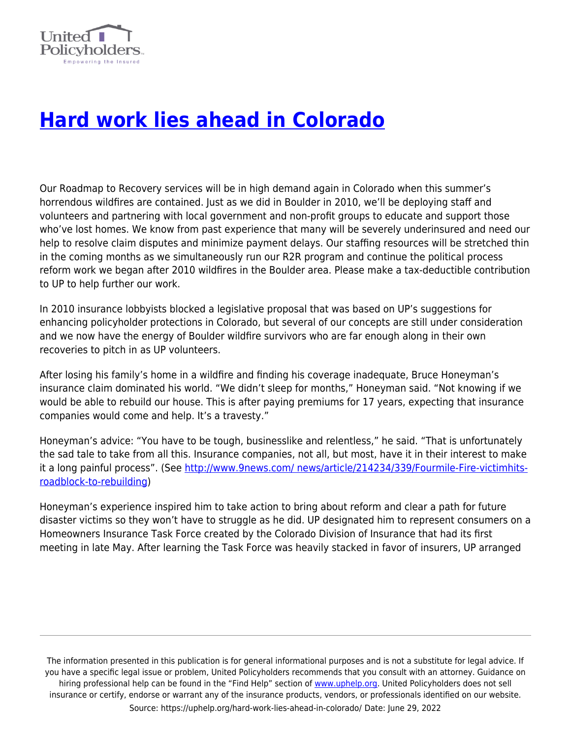

## **[Hard work lies ahead in Colorado](https://uphelp.org/hard-work-lies-ahead-in-colorado/)**

Our Roadmap to Recovery services will be in high demand again in Colorado when this summer's horrendous wildfires are contained. Just as we did in Boulder in 2010, we'll be deploying staff and volunteers and partnering with local government and non-profit groups to educate and support those who've lost homes. We know from past experience that many will be severely underinsured and need our help to resolve claim disputes and minimize payment delays. Our staffing resources will be stretched thin in the coming months as we simultaneously run our R2R program and continue the political process reform work we began after 2010 wildfires in the Boulder area. Please make a tax-deductible contribution to UP to help further our work.

In 2010 insurance lobbyists blocked a legislative proposal that was based on UP's suggestions for enhancing policyholder protections in Colorado, but several of our concepts are still under consideration and we now have the energy of Boulder wildfire survivors who are far enough along in their own recoveries to pitch in as UP volunteers.

After losing his family's home in a wildfire and finding his coverage inadequate, Bruce Honeyman's insurance claim dominated his world. "We didn't sleep for months," Honeyman said. "Not knowing if we would be able to rebuild our house. This is after paying premiums for 17 years, expecting that insurance companies would come and help. It's a travesty."

Honeyman's advice: "You have to be tough, businesslike and relentless," he said. "That is unfortunately the sad tale to take from all this. Insurance companies, not all, but most, have it in their interest to make it a long painful process". (See [http://www.9news.com/ news/article/214234/339/Fourmile-Fire-victimhits](http://www.9news.com/news/article/214234/339/Fourmile-Fire-victimhits-roadblock-to-rebuilding)[roadblock-to-rebuilding](http://www.9news.com/news/article/214234/339/Fourmile-Fire-victimhits-roadblock-to-rebuilding))

Honeyman's experience inspired him to take action to bring about reform and clear a path for future disaster victims so they won't have to struggle as he did. UP designated him to represent consumers on a Homeowners Insurance Task Force created by the Colorado Division of Insurance that had its first meeting in late May. After learning the Task Force was heavily stacked in favor of insurers, UP arranged

The information presented in this publication is for general informational purposes and is not a substitute for legal advice. If you have a specific legal issue or problem, United Policyholders recommends that you consult with an attorney. Guidance on hiring professional help can be found in the "Find Help" section of [www.uphelp.org.](http://www.uphelp.org/) United Policyholders does not sell insurance or certify, endorse or warrant any of the insurance products, vendors, or professionals identified on our website. Source: https://uphelp.org/hard-work-lies-ahead-in-colorado/ Date: June 29, 2022